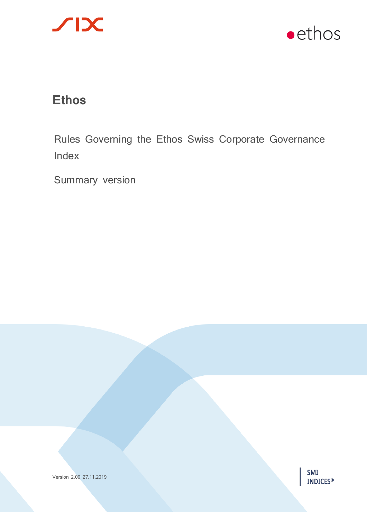



# **Ethos**

Rules Governing the Ethos Swiss Corporate Governance Index

Summary version



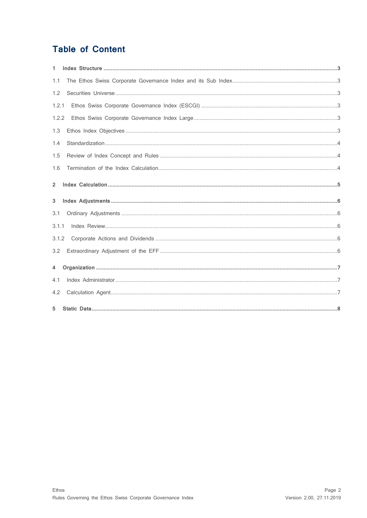# **Table of Content**

| 1.             |  |
|----------------|--|
| 1.1            |  |
| 1.2            |  |
| 1.2.1          |  |
| 1.2.2          |  |
| 1.3            |  |
| 1.4            |  |
| 1.5            |  |
| 1.6            |  |
| $\overline{2}$ |  |
| 3              |  |
| 3.1            |  |
| 3.1.1          |  |
| 3.1.2          |  |
| 3.2            |  |
| 4              |  |
| 4.1            |  |
| 4.2            |  |
| 5              |  |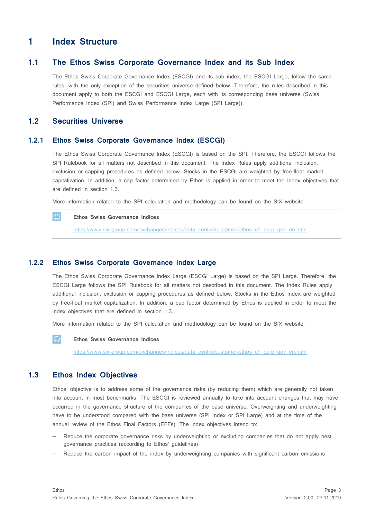# <span id="page-2-0"></span>**1 Index Structure**

#### **1.1 The Ethos Swiss Corporate Governance Index and its Sub Index**

<span id="page-2-1"></span>The Ethos Swiss Corporate Governance Index (ESCGI) and its sub index, the ESCGI Large, follow the same rules, with the only exception of the securities universe defined below. Therefore, the rules described in this document apply to both the ESCGI and ESCGI Large, each with its corresponding base universe (Swiss Performance Index (SPI) and Swiss Performance Index Large (SPI Large)).

#### <span id="page-2-2"></span>**1.2 Securities Universe**

#### **1.2.1 Ethos Swiss Corporate Governance Index (ESCGI)**

<span id="page-2-3"></span>The Ethos Swiss Corporate Governance Index (ESCGI) is based on the SPI. Therefore, the ESCGI follows the SPI Rulebook for all matters not described in this document. The Index Rules apply additional inclusion, exclusion or capping procedures as defined below. Stocks in the ESCGI are weighted by free-float market capitalization. In addition, a cap factor determined by Ethos is applied in order to meet the Index objectives that are defined in section 1.3.

More information related to the SPI calculation and methodology can be found on the SIX website.

#### **Ethos Swiss Governance Indices**

[https://www.six-group.com/exchanges/indices/data\\_centre/customer/ethos\\_ch\\_corp\\_gov\\_en.html](https://www.six-group.com/exchanges/indices/data_centre/customer/ethos_ch_corp_gov_en.html)

#### **1.2.2 Ethos Swiss Corporate Governance Index Large**

<span id="page-2-4"></span>The Ethos Swiss Corporate Governance Index Large (ESCGI Large) is based on the SPI Large. Therefore, the ESCGI Large follows the SPI Rulebook for all matters not described in this document. The Index Rules apply additional inclusion, exclusion or capping procedures as defined below. Stocks in the Ethos Index are weighted by free-float market capitalization. In addition, a cap factor determined by Ethos is applied in order to meet the index objectives that are defined in section 1.3.

More information related to the SPI calculation and methodology can be found on the SIX website.

#### **Ethos Swiss Governance Indices**

[https://www.six-group.com/exchanges/indices/data\\_centre/customer/ethos\\_ch\\_corp\\_gov\\_en.html](https://www.six-group.com/exchanges/indices/data_centre/customer/ethos_ch_corp_gov_en.html)

#### <span id="page-2-5"></span>**1.3 Ethos Index Objectives**

Ethos' objective is to address some of the governance risks (by reducing them) which are generally not taken into account in most benchmarks. The ESCGI is reviewed annually to take into account changes that may have occurred in the governance structure of the companies of the base universe. Overweighting and underweighting have to be understood compared with the base universe (SPI Index or SPI Large) and at the time of the annual review of the Ethos Final Factors (EFFs). The index objectives intend to:

- Reduce the corporate governance risks by underweighting or excluding companies that do not apply best governance practices (according to Ethos' guidelines)
- Reduce the carbon impact of the index by underweighting companies with significant carbon emissions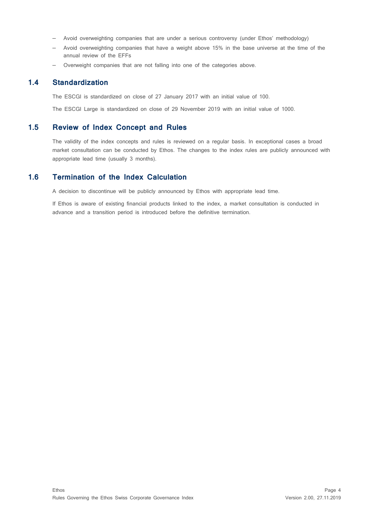- Avoid overweighting companies that are under a serious controversy (under Ethos' methodology)
- Avoid overweighting companies that have a weight above 15% in the base universe at the time of the annual review of the EFFs
- <span id="page-3-0"></span>– Overweight companies that are not falling into one of the categories above.

### **1.4 Standardization**

The ESCGI is standardized on close of 27 January 2017 with an initial value of 100.

<span id="page-3-1"></span>The ESCGI Large is standardized on close of 29 November 2019 with an initial value of 1000.

### **1.5 Review of Index Concept and Rules**

The validity of the index concepts and rules is reviewed on a regular basis. In exceptional cases a broad market consultation can be conducted by Ethos. The changes to the index rules are publicly announced with appropriate lead time (usually 3 months).

#### **1.6 Termination of the Index Calculation**

<span id="page-3-2"></span>A decision to discontinue will be publicly announced by Ethos with appropriate lead time.

If Ethos is aware of existing financial products linked to the index, a market consultation is conducted in advance and a transition period is introduced before the definitive termination.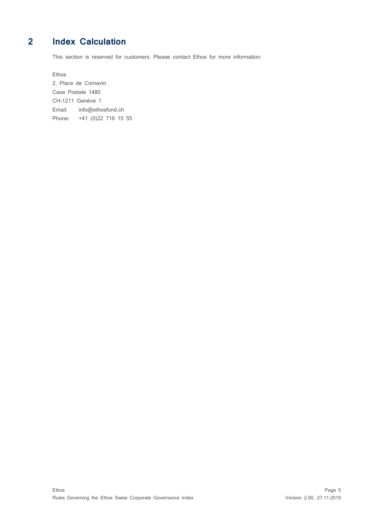# **2 Index Calculation**

<span id="page-4-0"></span>This section is reserved for customers. Please contact Ethos for more information:

Ethos

2, Place de Cornavin Case Postale 1480 CH-1211 Genève 1 Email: info@ethosfund.ch Phone: +41 (0)22 716 15 55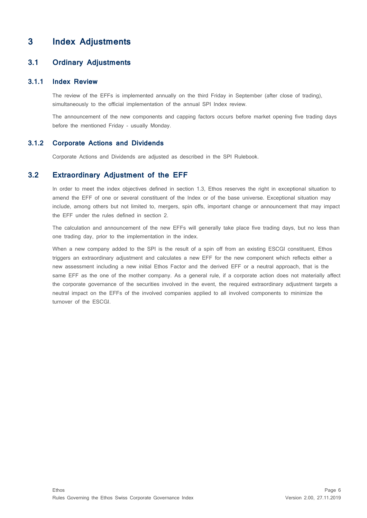# <span id="page-5-0"></span>**3 Index Adjustments**

#### <span id="page-5-1"></span>**3.1 Ordinary Adjustments**

#### **3.1.1 Index Review**

<span id="page-5-2"></span>The review of the EFFs is implemented annually on the third Friday in September (after close of trading), simultaneously to the official implementation of the annual SPI Index review.

<span id="page-5-3"></span>The announcement of the new components and capping factors occurs before market opening five trading days before the mentioned Friday - usually Monday.

#### **3.1.2 Corporate Actions and Dividends**

<span id="page-5-4"></span>Corporate Actions and Dividends are adjusted as described in the SPI Rulebook.

### **3.2 Extraordinary Adjustment of the EFF**

In order to meet the index objectives defined in section 1.3, Ethos reserves the right in exceptional situation to amend the EFF of one or several constituent of the Index or of the base universe. Exceptional situation may include, among others but not limited to, mergers, spin offs, important change or announcement that may impact the EFF under the rules defined in section 2.

The calculation and announcement of the new EFFs will generally take place five trading days, but no less than one trading day, prior to the implementation in the index.

When a new company added to the SPI is the result of a spin off from an existing ESCGI constituent, Ethos triggers an extraordinary adjustment and calculates a new EFF for the new component which reflects either a new assessment including a new initial Ethos Factor and the derived EFF or a neutral approach, that is the same EFF as the one of the mother company. As a general rule, if a corporate action does not materially affect the corporate governance of the securities involved in the event, the required extraordinary adjustment targets a neutral impact on the EFFs of the involved companies applied to all involved components to minimize the turnover of the ESCGI.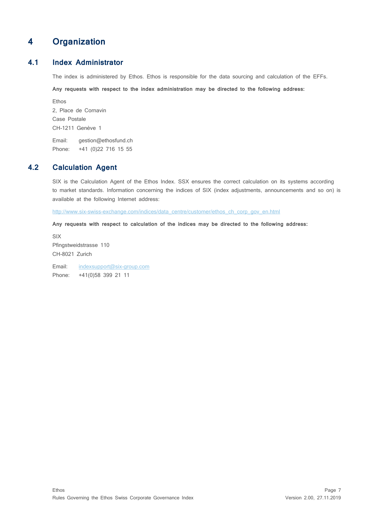# <span id="page-6-0"></span>**4 Organization**

## **4.1 Index Administrator**

<span id="page-6-1"></span>The index is administered by Ethos. Ethos is responsible for the data sourcing and calculation of the EFFs.

**Any requests with respect to the index administration may be directed to the following address:**

Ethos 2, Place de Cornavin Case Postale CH-1211 Genève 1

<span id="page-6-2"></span>Email: [gestion@ethosfund.ch](mailto:gestion@ethosfund.ch) Phone: +41 (0)22 716 15 55

# **4.2 Calculation Agent**

SIX is the Calculation Agent of the Ethos Index. SSX ensures the correct calculation on its systems according to market standards. Information concerning the indices of SIX (index adjustments, announcements and so on) is available at the following Internet address:

[http://www.six-swiss-exchange.com/indices/data\\_centre/customer/ethos\\_ch\\_corp\\_gov\\_en.html](http://www.six-swiss-exchange.com/indices/data_centre/customer/blkb_regio_basel_de.html)

**Any requests with respect to calculation of the indices may be directed to the following address:**

SIX Pfingstweidstrasse 110 CH-8021 Zurich

Email: [indexsupport@six-group.com](mailto:indexsupport@six-group.com) Phone: +41(0)58 399 21 11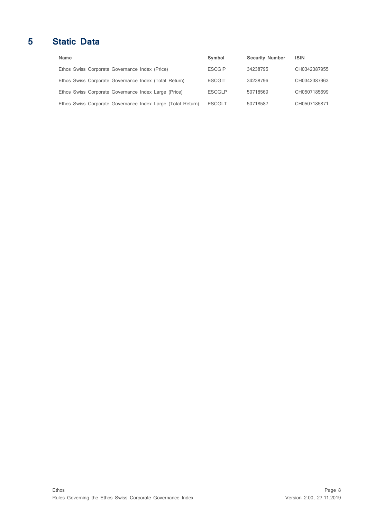# **5 Static Data**

<span id="page-7-0"></span>

| Name                                                        | Symbol        | <b>Security Number</b> | <b>ISIN</b>  |
|-------------------------------------------------------------|---------------|------------------------|--------------|
| Ethos Swiss Corporate Governance Index (Price)              | <b>ESCGIP</b> | 34238795               | CH0342387955 |
| Ethos Swiss Corporate Governance Index (Total Return)       | <b>ESCGIT</b> | 34238796               | CH0342387963 |
| Ethos Swiss Corporate Governance Index Large (Price)        | <b>ESCGLP</b> | 50718569               | CH0507185699 |
| Ethos Swiss Corporate Governance Index Large (Total Return) | <b>ESCGLT</b> | 50718587               | CH0507185871 |